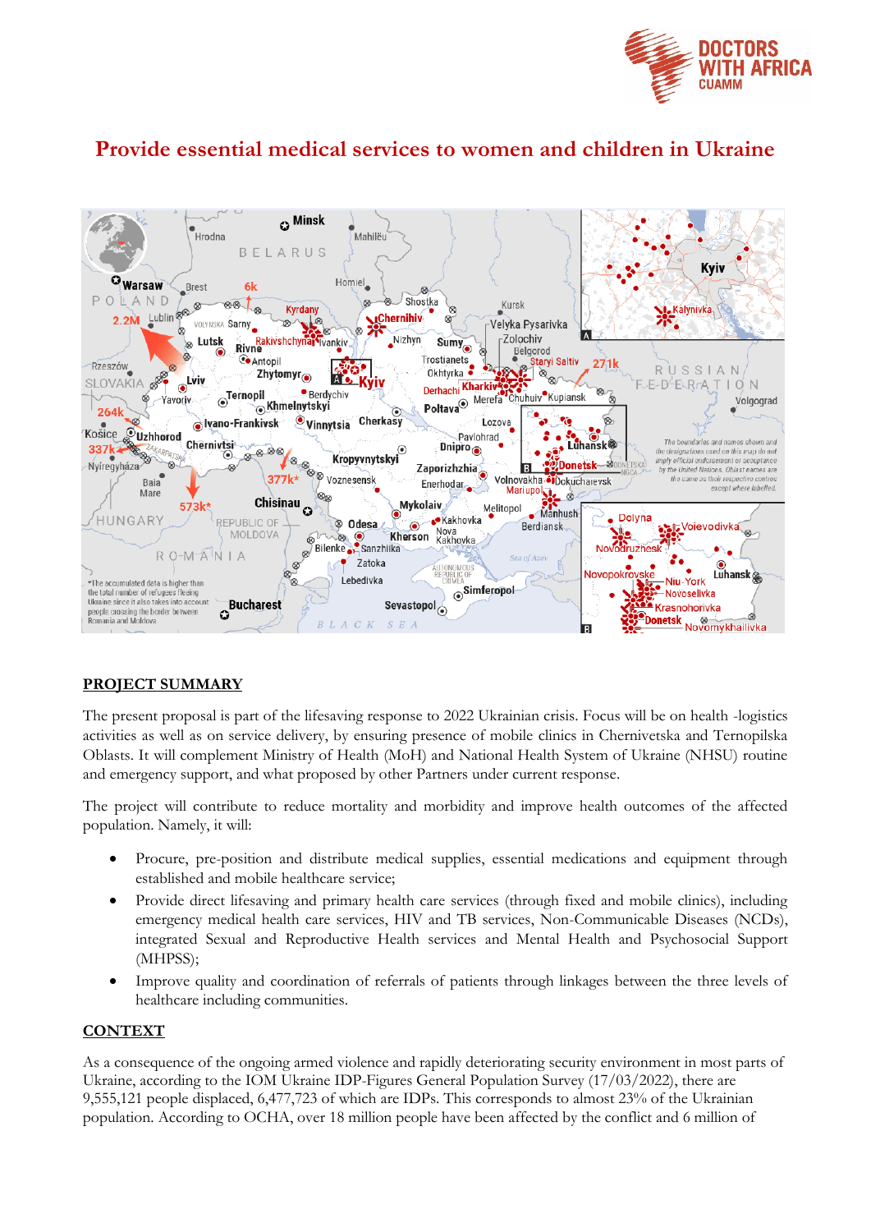

# **Provide essential medical services to women and children in Ukraine**



### **PROJECT SUMMARY**

The present proposal is part of the lifesaving response to 2022 Ukrainian crisis. Focus will be on health -logistics activities as well as on service delivery, by ensuring presence of mobile clinics in Chernivetska and Ternopilska Oblasts. It will complement Ministry of Health (MoH) and National Health System of Ukraine (NHSU) routine and emergency support, and what proposed by other Partners under current response.

The project will contribute to reduce mortality and morbidity and improve health outcomes of the affected population. Namely, it will:

- Procure, pre-position and distribute medical supplies, essential medications and equipment through established and mobile healthcare service;
- Provide direct lifesaving and primary health care services (through fixed and mobile clinics), including emergency medical health care services, HIV and TB services, Non-Communicable Diseases (NCDs), integrated Sexual and Reproductive Health services and Mental Health and Psychosocial Support (MHPSS);
- Improve quality and coordination of referrals of patients through linkages between the three levels of healthcare including communities.

#### **CONTEXT**

As a consequence of the ongoing armed violence and rapidly deteriorating security environment in most parts of Ukraine, according to the IOM Ukraine IDP-Figures General Population Survey (17/03/2022), there are 9,555,121 people displaced, 6,477,723 of which are IDPs. This corresponds to almost 23% of the Ukrainian population. According to OCHA, over 18 million people have been affected by the conflict and 6 million of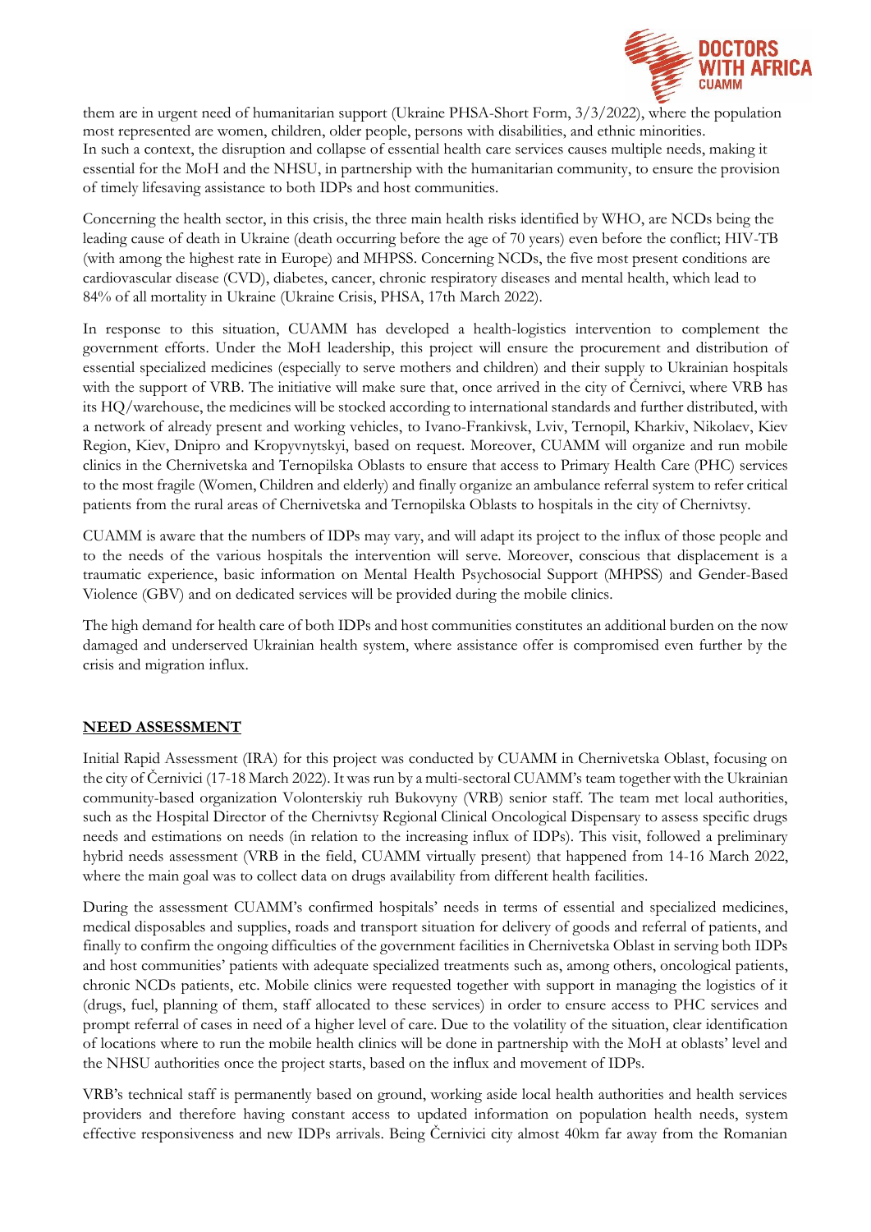

them are in urgent need of humanitarian support (Ukraine PHSA-Short Form, 3/3/2022), where the population most represented are women, children, older people, persons with disabilities, and ethnic minorities. In such a context, the disruption and collapse of essential health care services causes multiple needs, making it essential for the MoH and the NHSU, in partnership with the humanitarian community, to ensure the provision of timely lifesaving assistance to both IDPs and host communities.

Concerning the health sector, in this crisis, the three main health risks identified by WHO, are NCDs being the leading cause of death in Ukraine (death occurring before the age of 70 years) even before the conflict; HIV-TB (with among the highest rate in Europe) and MHPSS. Concerning NCDs, the five most present conditions are cardiovascular disease (CVD), diabetes, cancer, chronic respiratory diseases and mental health, which lead to 84% of all mortality in Ukraine (Ukraine Crisis, PHSA, 17th March 2022).

In response to this situation, CUAMM has developed a health-logistics intervention to complement the government efforts. Under the MoH leadership, this project will ensure the procurement and distribution of essential specialized medicines (especially to serve mothers and children) and their supply to Ukrainian hospitals with the support of VRB. The initiative will make sure that, once arrived in the city of Cernivci, where VRB has its HQ/warehouse, the medicines will be stocked according to international standards and further distributed, with a network of already present and working vehicles, to Ivano-Frankivsk, Lviv, Ternopil, Kharkiv, Nikolaev, Kiev Region, Kiev, Dnipro and Kropyvnytskyi, based on request. Moreover, CUAMM will organize and run mobile clinics in the Chernivetska and Ternopilska Oblasts to ensure that access to Primary Health Care (PHC) services to the most fragile (Women, Children and elderly) and finally organize an ambulance referral system to refer critical patients from the rural areas of Chernivetska and Ternopilska Oblasts to hospitals in the city of Chernivtsy.

CUAMM is aware that the numbers of IDPs may vary, and will adapt its project to the influx of those people and to the needs of the various hospitals the intervention will serve. Moreover, conscious that displacement is a traumatic experience, basic information on Mental Health Psychosocial Support (MHPSS) and Gender-Based Violence (GBV) and on dedicated services will be provided during the mobile clinics.

The high demand for health care of both IDPs and host communities constitutes an additional burden on the now damaged and underserved Ukrainian health system, where assistance offer is compromised even further by the crisis and migration influx.

### **NEED ASSESSMENT**

Initial Rapid Assessment (IRA) for this project was conducted by CUAMM in Chernivetska Oblast, focusing on the city of Černivici (17-18 March 2022). It was run by a multi-sectoral CUAMM's team together with the Ukrainian community-based organization Volonterskiy ruh Bukovyny (VRB) senior staff. The team met local authorities, such as the Hospital Director of the Chernivtsy Regional Clinical Oncological Dispensary to assess specific drugs needs and estimations on needs (in relation to the increasing influx of IDPs). This visit, followed a preliminary hybrid needs assessment (VRB in the field, CUAMM virtually present) that happened from 14-16 March 2022, where the main goal was to collect data on drugs availability from different health facilities.

During the assessment CUAMM's confirmed hospitals' needs in terms of essential and specialized medicines, medical disposables and supplies, roads and transport situation for delivery of goods and referral of patients, and finally to confirm the ongoing difficulties of the government facilities in Chernivetska Oblast in serving both IDPs and host communities' patients with adequate specialized treatments such as, among others, oncological patients, chronic NCDs patients, etc. Mobile clinics were requested together with support in managing the logistics of it (drugs, fuel, planning of them, staff allocated to these services) in order to ensure access to PHC services and prompt referral of cases in need of a higher level of care. Due to the volatility of the situation, clear identification of locations where to run the mobile health clinics will be done in partnership with the MoH at oblasts' level and the NHSU authorities once the project starts, based on the influx and movement of IDPs.

VRB's technical staff is permanently based on ground, working aside local health authorities and health services providers and therefore having constant access to updated information on population health needs, system effective responsiveness and new IDPs arrivals. Being Černivici city almost 40km far away from the Romanian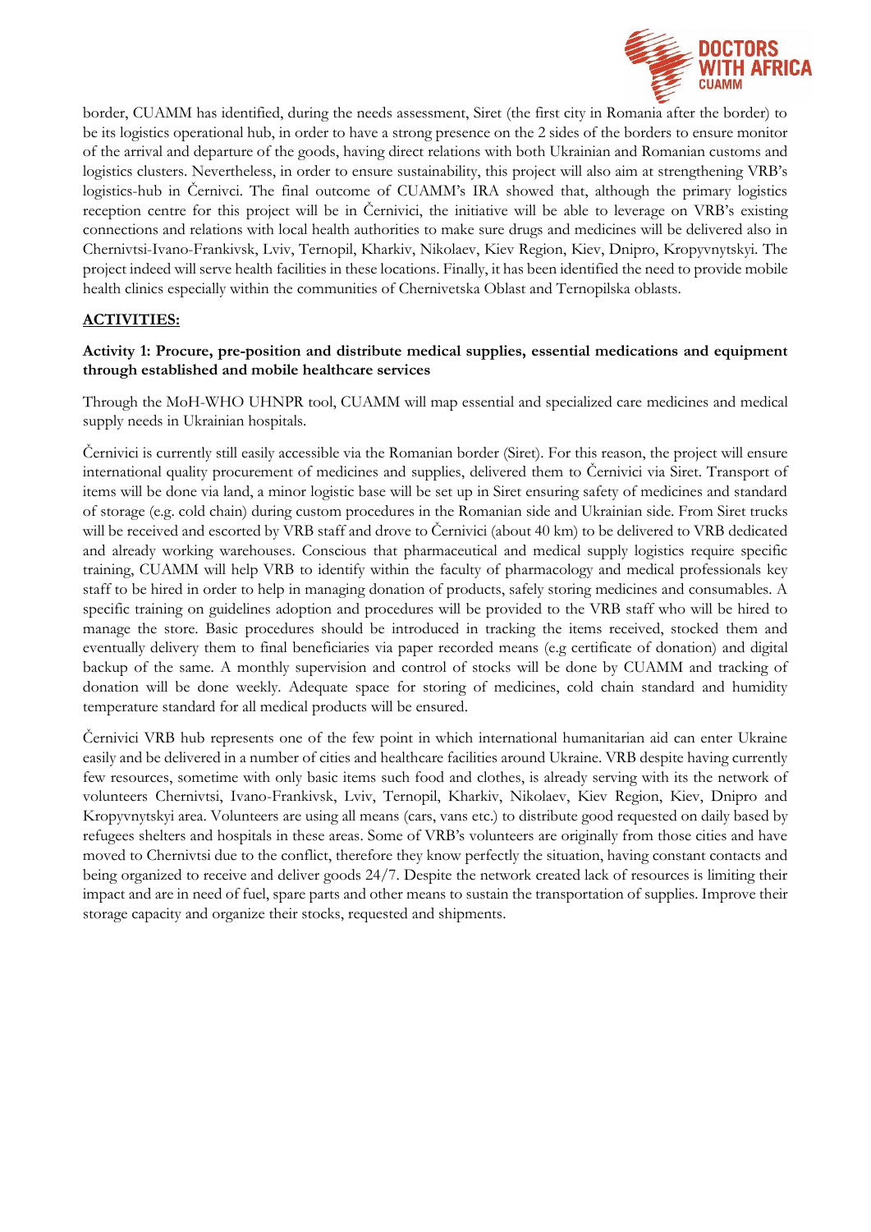

border, CUAMM has identified, during the needs assessment, Siret (the first city in Romania after the border) to be its logistics operational hub, in order to have a strong presence on the 2 sides of the borders to ensure monitor of the arrival and departure of the goods, having direct relations with both Ukrainian and Romanian customs and logistics clusters. Nevertheless, in order to ensure sustainability, this project will also aim at strengthening VRB's logistics-hub in Černivci. The final outcome of CUAMM's IRA showed that, although the primary logistics reception centre for this project will be in Černivici, the initiative will be able to leverage on VRB's existing connections and relations with local health authorities to make sure drugs and medicines will be delivered also in Chernivtsi-Ivano-Frankivsk, Lviv, Ternopil, Kharkiv, Nikolaev, Kiev Region, Kiev, Dnipro, Kropyvnytskyi. The project indeed will serve health facilities in these locations. Finally, it has been identified the need to provide mobile health clinics especially within the communities of Chernivetska Oblast and Ternopilska oblasts.

### **ACTIVITIES:**

### **Activity 1: Procure, pre-position and distribute medical supplies, essential medications and equipment through established and mobile healthcare services**

Through the MoH-WHO UHNPR tool, CUAMM will map essential and specialized care medicines and medical supply needs in Ukrainian hospitals.

Černivici is currently still easily accessible via the Romanian border (Siret). For this reason, the project will ensure international quality procurement of medicines and supplies, delivered them to Černivici via Siret. Transport of items will be done via land, a minor logistic base will be set up in Siret ensuring safety of medicines and standard of storage (e.g. cold chain) during custom procedures in the Romanian side and Ukrainian side. From Siret trucks will be received and escorted by VRB staff and drove to Černivici (about 40 km) to be delivered to VRB dedicated and already working warehouses. Conscious that pharmaceutical and medical supply logistics require specific training, CUAMM will help VRB to identify within the faculty of pharmacology and medical professionals key staff to be hired in order to help in managing donation of products, safely storing medicines and consumables. A specific training on guidelines adoption and procedures will be provided to the VRB staff who will be hired to manage the store. Basic procedures should be introduced in tracking the items received, stocked them and eventually delivery them to final beneficiaries via paper recorded means (e.g certificate of donation) and digital backup of the same. A monthly supervision and control of stocks will be done by CUAMM and tracking of donation will be done weekly. Adequate space for storing of medicines, cold chain standard and humidity temperature standard for all medical products will be ensured.

Černivici VRB hub represents one of the few point in which international humanitarian aid can enter Ukraine easily and be delivered in a number of cities and healthcare facilities around Ukraine. VRB despite having currently few resources, sometime with only basic items such food and clothes, is already serving with its the network of volunteers Chernivtsi, Ivano-Frankivsk, Lviv, Ternopil, Kharkiv, Nikolaev, Kiev Region, Kiev, Dnipro and Kropyvnytskyi area. Volunteers are using all means (cars, vans etc.) to distribute good requested on daily based by refugees shelters and hospitals in these areas. Some of VRB's volunteers are originally from those cities and have moved to Chernivtsi due to the conflict, therefore they know perfectly the situation, having constant contacts and being organized to receive and deliver goods 24/7. Despite the network created lack of resources is limiting their impact and are in need of fuel, spare parts and other means to sustain the transportation of supplies. Improve their storage capacity and organize their stocks, requested and shipments.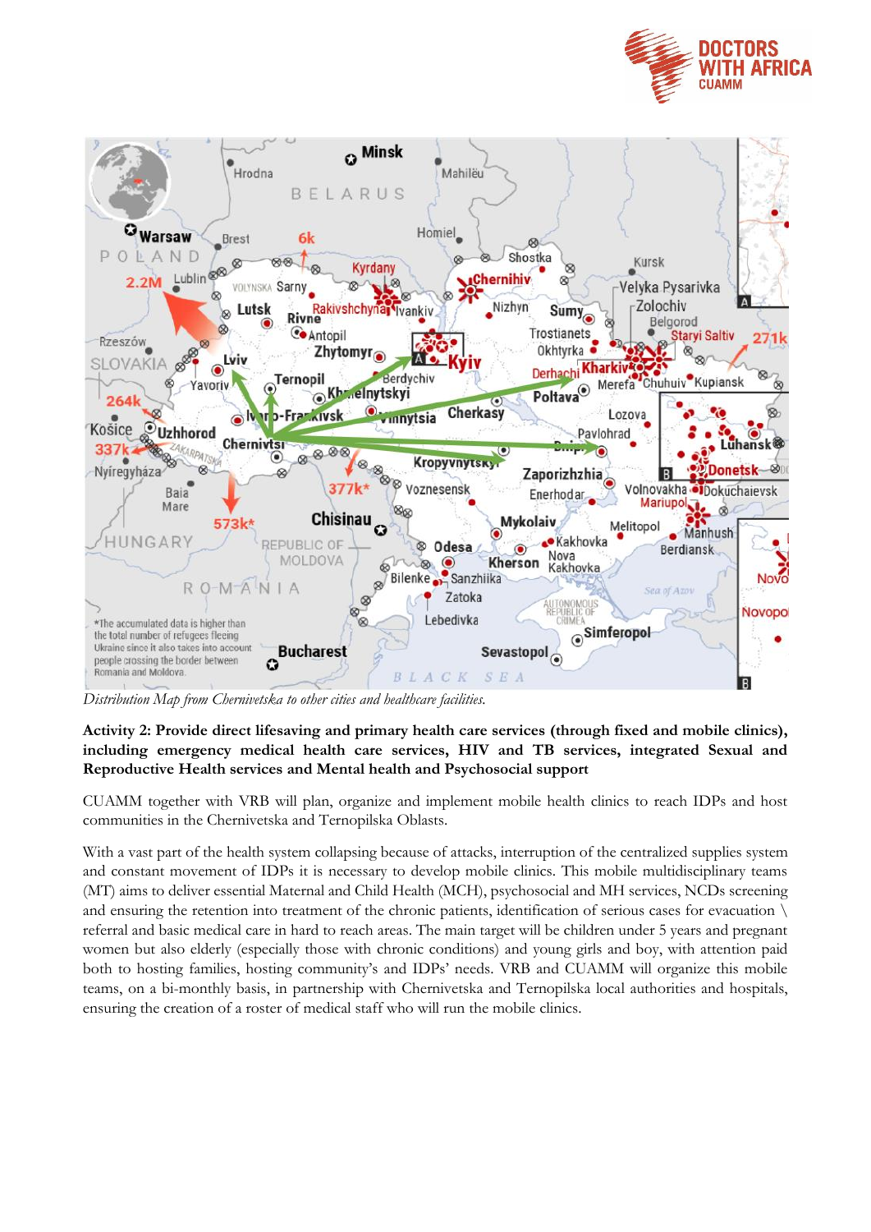



*Distribution Map from Chernivetska to other cities and healthcare facilities.*

## **Activity 2: Provide direct lifesaving and primary health care services (through fixed and mobile clinics), including emergency medical health care services, HIV and TB services, integrated Sexual and Reproductive Health services and Mental health and Psychosocial support**

CUAMM together with VRB will plan, organize and implement mobile health clinics to reach IDPs and host communities in the Chernivetska and Ternopilska Oblasts.

With a vast part of the health system collapsing because of attacks, interruption of the centralized supplies system and constant movement of IDPs it is necessary to develop mobile clinics. This mobile multidisciplinary teams (MT) aims to deliver essential Maternal and Child Health (MCH), psychosocial and MH services, NCDs screening and ensuring the retention into treatment of the chronic patients, identification of serious cases for evacuation  $\setminus$ referral and basic medical care in hard to reach areas. The main target will be children under 5 years and pregnant women but also elderly (especially those with chronic conditions) and young girls and boy, with attention paid both to hosting families, hosting community's and IDPs' needs. VRB and CUAMM will organize this mobile teams, on a bi-monthly basis, in partnership with Chernivetska and Ternopilska local authorities and hospitals, ensuring the creation of a roster of medical staff who will run the mobile clinics.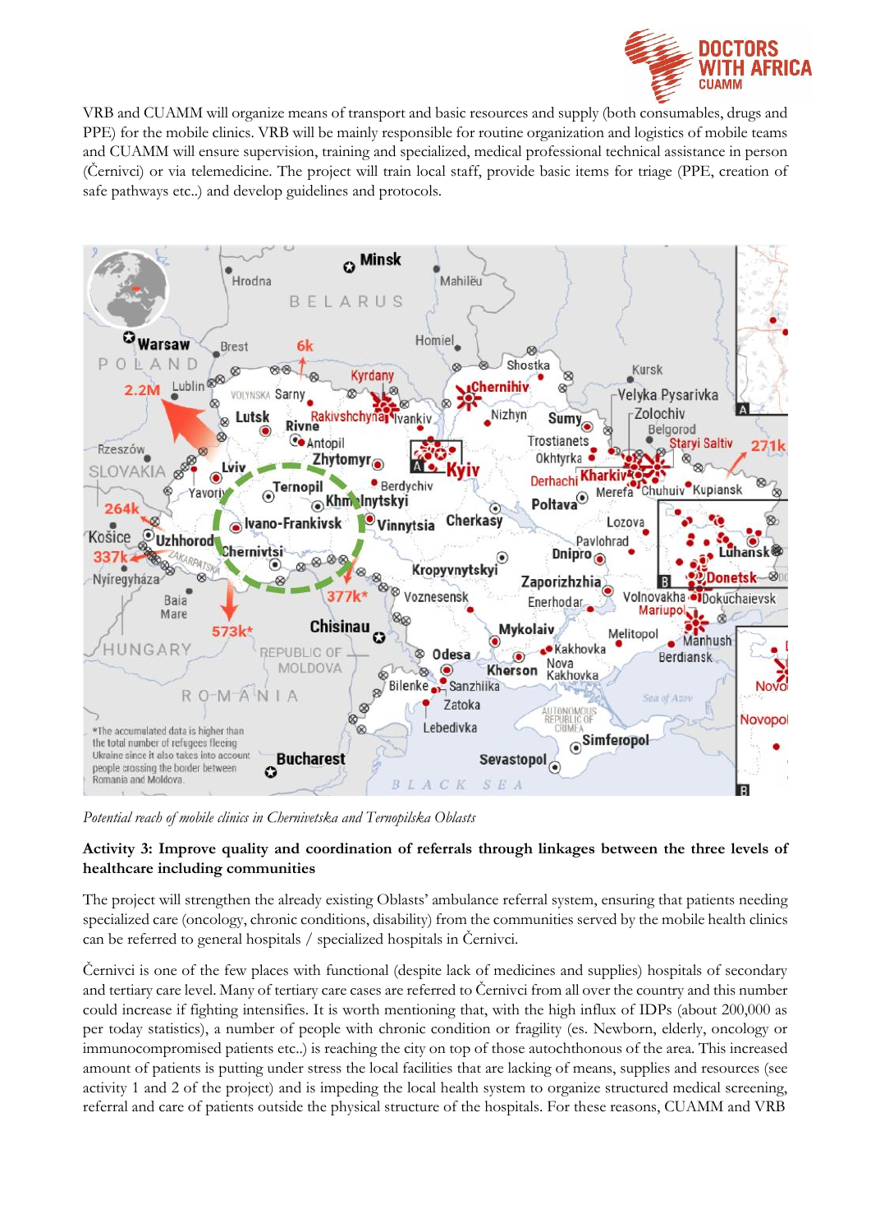

VRB and CUAMM will organize means of transport and basic resources and supply (both consumables, drugs and PPE) for the mobile clinics. VRB will be mainly responsible for routine organization and logistics of mobile teams and CUAMM will ensure supervision, training and specialized, medical professional technical assistance in person (Černivci) or via telemedicine. The project will train local staff, provide basic items for triage (PPE, creation of safe pathways etc..) and develop guidelines and protocols.



*Potential reach of mobile clinics in Chernivetska and Ternopilska Oblasts*

#### **Activity 3: Improve quality and coordination of referrals through linkages between the three levels of healthcare including communities**

The project will strengthen the already existing Oblasts' ambulance referral system, ensuring that patients needing specialized care (oncology, chronic conditions, disability) from the communities served by the mobile health clinics can be referred to general hospitals / specialized hospitals in Černivci.

Černivci is one of the few places with functional (despite lack of medicines and supplies) hospitals of secondary and tertiary care level. Many of tertiary care cases are referred to Černivci from all over the country and this number could increase if fighting intensifies. It is worth mentioning that, with the high influx of IDPs (about 200,000 as per today statistics), a number of people with chronic condition or fragility (es. Newborn, elderly, oncology or immunocompromised patients etc..) is reaching the city on top of those autochthonous of the area. This increased amount of patients is putting under stress the local facilities that are lacking of means, supplies and resources (see activity 1 and 2 of the project) and is impeding the local health system to organize structured medical screening, referral and care of patients outside the physical structure of the hospitals. For these reasons, CUAMM and VRB